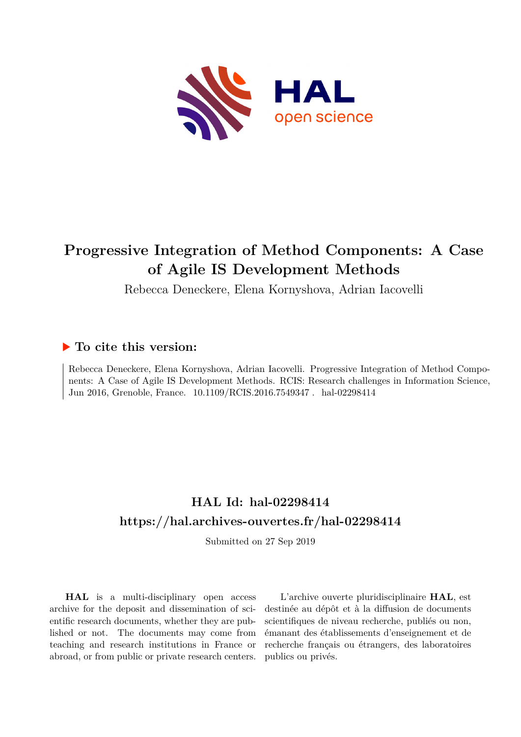

# **Progressive Integration of Method Components: A Case of Agile IS Development Methods**

Rebecca Deneckere, Elena Kornyshova, Adrian Iacovelli

# **To cite this version:**

Rebecca Deneckere, Elena Kornyshova, Adrian Iacovelli. Progressive Integration of Method Components: A Case of Agile IS Development Methods. RCIS: Research challenges in Information Science, Jun 2016, Grenoble, France. 10.1109/RCIS.2016.7549347. hal-02298414

# **HAL Id: hal-02298414 <https://hal.archives-ouvertes.fr/hal-02298414>**

Submitted on 27 Sep 2019

**HAL** is a multi-disciplinary open access archive for the deposit and dissemination of scientific research documents, whether they are published or not. The documents may come from teaching and research institutions in France or abroad, or from public or private research centers.

L'archive ouverte pluridisciplinaire **HAL**, est destinée au dépôt et à la diffusion de documents scientifiques de niveau recherche, publiés ou non, émanant des établissements d'enseignement et de recherche français ou étrangers, des laboratoires publics ou privés.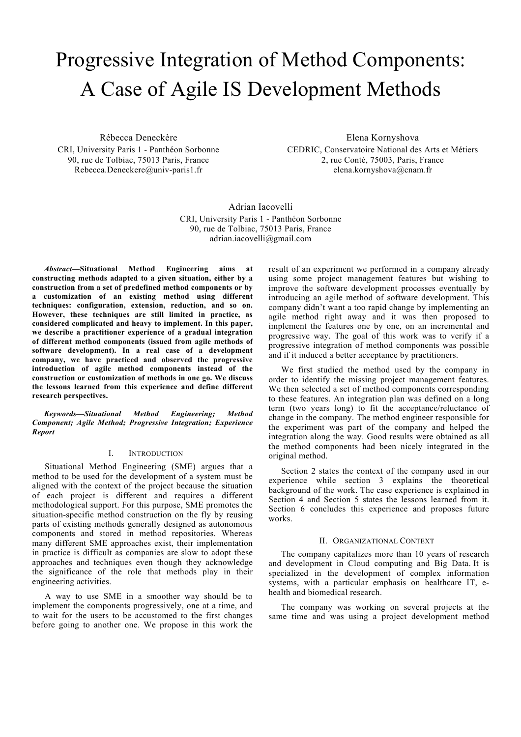# Progressive Integration of Method Components: A Case of Agile IS Development Methods

Rébecca Deneckère

CRI, University Paris 1 - Panthéon Sorbonne 90, rue de Tolbiac, 75013 Paris, France Rebecca.Deneckere@univ-paris1.fr

Elena Kornyshova CEDRIC, Conservatoire National des Arts et Métiers 2, rue Conté, 75003, Paris, France elena.kornyshova@cnam.fr

Adrian Iacovelli CRI, University Paris 1 - Panthéon Sorbonne 90, rue de Tolbiac, 75013 Paris, France adrian.iacovelli@gmail.com

*Abstract***—Situational Method Engineering aims at constructing methods adapted to a given situation, either by a construction from a set of predefined method components or by a customization of an existing method using different techniques: configuration, extension, reduction, and so on. However, these techniques are still limited in practice, as considered complicated and heavy to implement. In this paper, we describe a practitioner experience of a gradual integration of different method components (issued from agile methods of software development). In a real case of a development company, we have practiced and observed the progressive introduction of agile method components instead of the construction or customization of methods in one go. We discuss the lessons learned from this experience and define different research perspectives.**

*Keywords—Situational Method Engineering; Method Component; Agile Method; Progressive Integration; Experience Report*

## I. INTRODUCTION

Situational Method Engineering (SME) argues that a method to be used for the development of a system must be aligned with the context of the project because the situation of each project is different and requires a different methodological support. For this purpose, SME promotes the situation-specific method construction on the fly by reusing parts of existing methods generally designed as autonomous components and stored in method repositories. Whereas many different SME approaches exist, their implementation in practice is difficult as companies are slow to adopt these approaches and techniques even though they acknowledge the significance of the role that methods play in their engineering activities.

A way to use SME in a smoother way should be to implement the components progressively, one at a time, and to wait for the users to be accustomed to the first changes before going to another one. We propose in this work the result of an experiment we performed in a company already using some project management features but wishing to improve the software development processes eventually by introducing an agile method of software development. This company didn't want a too rapid change by implementing an agile method right away and it was then proposed to implement the features one by one, on an incremental and progressive way. The goal of this work was to verify if a progressive integration of method components was possible and if it induced a better acceptance by practitioners.

We first studied the method used by the company in order to identify the missing project management features. We then selected a set of method components corresponding to these features. An integration plan was defined on a long term (two years long) to fit the acceptance/reluctance of change in the company. The method engineer responsible for the experiment was part of the company and helped the integration along the way. Good results were obtained as all the method components had been nicely integrated in the original method.

Section 2 states the context of the company used in our experience while section 3 explains the theoretical background of the work. The case experience is explained in Section 4 and Section 5 states the lessons learned from it. Section 6 concludes this experience and proposes future works.

#### II. ORGANIZATIONAL CONTEXT

The company capitalizes more than 10 years of research and development in Cloud computing and Big Data. It is specialized in the development of complex information systems, with a particular emphasis on healthcare IT, ehealth and biomedical research.

The company was working on several projects at the same time and was using a project development method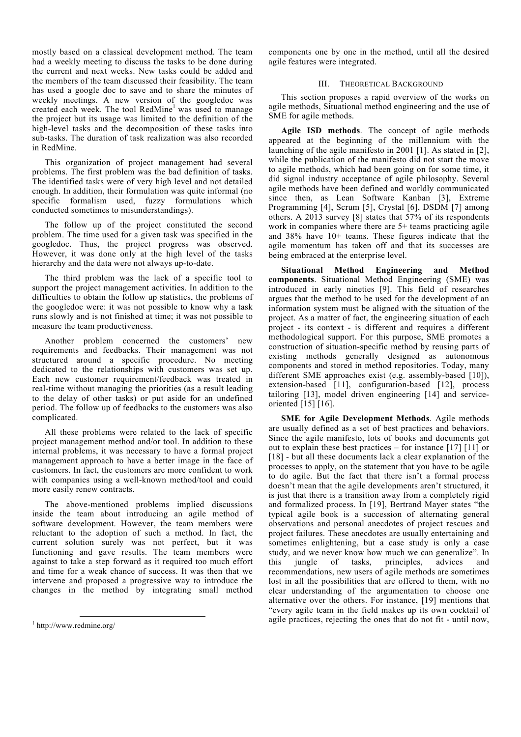mostly based on a classical development method. The team had a weekly meeting to discuss the tasks to be done during the current and next weeks. New tasks could be added and the members of the team discussed their feasibility. The team has used a google doc to save and to share the minutes of weekly meetings. A new version of the googledoc was created each week. The tool RedMine<sup>1</sup> was used to manage the project but its usage was limited to the definition of the high-level tasks and the decomposition of these tasks into sub-tasks. The duration of task realization was also recorded in RedMine.

This organization of project management had several problems. The first problem was the bad definition of tasks. The identified tasks were of very high level and not detailed enough. In addition, their formulation was quite informal (no specific formalism used, fuzzy formulations which conducted sometimes to misunderstandings).

The follow up of the project constituted the second problem. The time used for a given task was specified in the googledoc. Thus, the project progress was observed. However, it was done only at the high level of the tasks hierarchy and the data were not always up-to-date.

The third problem was the lack of a specific tool to support the project management activities. In addition to the difficulties to obtain the follow up statistics, the problems of the googledoc were: it was not possible to know why a task runs slowly and is not finished at time; it was not possible to measure the team productiveness.

Another problem concerned the customers' new requirements and feedbacks. Their management was not structured around a specific procedure. No meeting dedicated to the relationships with customers was set up. Each new customer requirement/feedback was treated in real-time without managing the priorities (as a result leading to the delay of other tasks) or put aside for an undefined period. The follow up of feedbacks to the customers was also complicated.

All these problems were related to the lack of specific project management method and/or tool. In addition to these internal problems, it was necessary to have a formal project management approach to have a better image in the face of customers. In fact, the customers are more confident to work with companies using a well-known method/tool and could more easily renew contracts.

The above-mentioned problems implied discussions inside the team about introducing an agile method of software development. However, the team members were reluctant to the adoption of such a method. In fact, the current solution surely was not perfect, but it was functioning and gave results. The team members were against to take a step forward as it required too much effort and time for a weak chance of success. It was then that we intervene and proposed a progressive way to introduce the changes in the method by integrating small method

components one by one in the method, until all the desired agile features were integrated.

# III. THEORETICAL BACKGROUND

This section proposes a rapid overview of the works on agile methods, Situational method engineering and the use of SME for agile methods.

**Agile ISD methods**. The concept of agile methods appeared at the beginning of the millennium with the launching of the agile manifesto in 2001 [1]. As stated in [2], while the publication of the manifesto did not start the move to agile methods, which had been going on for some time, it did signal industry acceptance of agile philosophy. Several agile methods have been defined and worldly communicated since then, as Lean Software Kanban [3], Extreme Programming [4], Scrum [5], Crystal [6], DSDM [7] among others. A 2013 survey [8] states that 57% of its respondents work in companies where there are 5+ teams practicing agile and 38% have 10+ teams. These figures indicate that the agile momentum has taken off and that its successes are being embraced at the enterprise level.

**Situational Method Engineering and Method components**. Situational Method Engineering (SME) was introduced in early nineties [9]. This field of researches argues that the method to be used for the development of an information system must be aligned with the situation of the project. As a matter of fact, the engineering situation of each project - its context - is different and requires a different methodological support. For this purpose, SME promotes a construction of situation-specific method by reusing parts of existing methods generally designed as autonomous components and stored in method repositories. Today, many different SME approaches exist (e.g. assembly-based [10]), extension-based [11], configuration-based [12], process tailoring [13], model driven engineering [14] and serviceoriented [15] [16].

**SME for Agile Development Methods**. Agile methods are usually defined as a set of best practices and behaviors. Since the agile manifesto, lots of books and documents got out to explain these best practices – for instance [17] [11] or [18] - but all these documents lack a clear explanation of the processes to apply, on the statement that you have to be agile to do agile. But the fact that there isn't a formal process doesn't mean that the agile developments aren't structured, it is just that there is a transition away from a completely rigid and formalized process. In [19], Bertrand Mayer states "the typical agile book is a succession of alternating general observations and personal anecdotes of project rescues and project failures. These anecdotes are usually entertaining and sometimes enlightening, but a case study is only a case study, and we never know how much we can generalize". In this jungle of tasks, principles, advices and recommendations, new users of agile methods are sometimes lost in all the possibilities that are offered to them, with no clear understanding of the argumentation to choose one alternative over the others. For instance, [19] mentions that "every agile team in the field makes up its own cocktail of agile practices, rejecting the ones that do not fit - until now,

 $1$  http://www.redmine.org/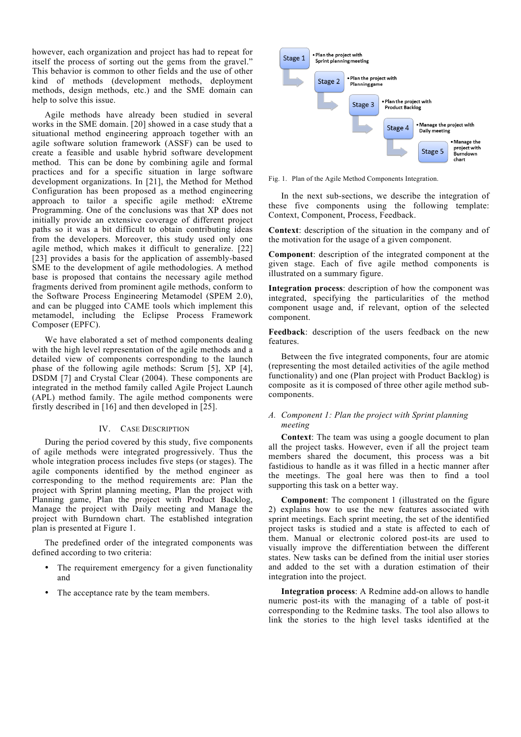however, each organization and project has had to repeat for itself the process of sorting out the gems from the gravel." This behavior is common to other fields and the use of other kind of methods (development methods, deployment methods, design methods, etc.) and the SME domain can help to solve this issue.

Agile methods have already been studied in several works in the SME domain. [20] showed in a case study that a situational method engineering approach together with an agile software solution framework (ASSF) can be used to create a feasible and usable hybrid software development method. This can be done by combining agile and formal practices and for a specific situation in large software development organizations. In [21], the Method for Method Configuration has been proposed as a method engineering approach to tailor a specific agile method: eXtreme Programming. One of the conclusions was that XP does not initially provide an extensive coverage of different project paths so it was a bit difficult to obtain contributing ideas from the developers. Moreover, this study used only one agile method, which makes it difficult to generalize. [22] [23] provides a basis for the application of assembly-based SME to the development of agile methodologies. A method base is proposed that contains the necessary agile method fragments derived from prominent agile methods, conform to the Software Process Engineering Metamodel (SPEM 2.0), and can be plugged into CAME tools which implement this metamodel, including the Eclipse Process Framework Composer (EPFC).

We have elaborated a set of method components dealing with the high level representation of the agile methods and a detailed view of components corresponding to the launch phase of the following agile methods: Scrum [5], XP [4], DSDM [7] and Crystal Clear (2004). These components are integrated in the method family called Agile Project Launch (APL) method family. The agile method components were firstly described in [16] and then developed in [25].

#### IV. CASE DESCRIPTION

During the period covered by this study, five components of agile methods were integrated progressively. Thus the whole integration process includes five steps (or stages). The agile components identified by the method engineer as corresponding to the method requirements are: Plan the project with Sprint planning meeting, Plan the project with Planning game, Plan the project with Product Backlog, Manage the project with Daily meeting and Manage the project with Burndown chart. The established integration plan is presented at Figure 1.

The predefined order of the integrated components was defined according to two criteria:

- The requirement emergency for a given functionality and
- The acceptance rate by the team members.



Fig. 1. Plan of the Agile Method Components Integration.

In the next sub-sections, we describe the integration of these five components using the following template: Context, Component, Process, Feedback.

**Context**: description of the situation in the company and of the motivation for the usage of a given component.

**Component**: description of the integrated component at the given stage. Each of five agile method components is illustrated on a summary figure.

**Integration process**: description of how the component was integrated, specifying the particularities of the method component usage and, if relevant, option of the selected component.

**Feedback**: description of the users feedback on the new features.

Between the five integrated components, four are atomic (representing the most detailed activities of the agile method functionality) and one (Plan project with Product Backlog) is composite as it is composed of three other agile method subcomponents.

# *A. Component 1: Plan the project with Sprint planning meeting*

**Context**: The team was using a google document to plan all the project tasks. However, even if all the project team members shared the document, this process was a bit fastidious to handle as it was filled in a hectic manner after the meetings. The goal here was then to find a tool supporting this task on a better way.

**Component**: The component 1 (illustrated on the figure 2) explains how to use the new features associated with sprint meetings. Each sprint meeting, the set of the identified project tasks is studied and a state is affected to each of them. Manual or electronic colored post-its are used to visually improve the differentiation between the different states. New tasks can be defined from the initial user stories and added to the set with a duration estimation of their integration into the project.

**Integration process**: A Redmine add-on allows to handle numeric post-its with the managing of a table of post-it corresponding to the Redmine tasks. The tool also allows to link the stories to the high level tasks identified at the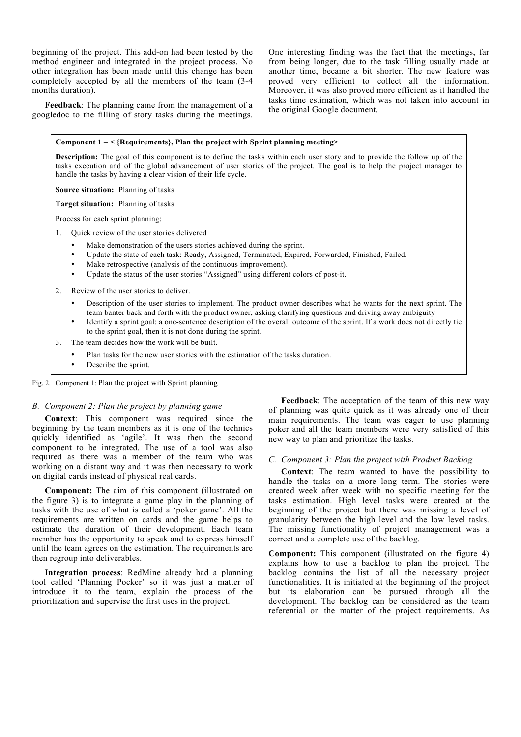beginning of the project. This add-on had been tested by the method engineer and integrated in the project process. No other integration has been made until this change has been completely accepted by all the members of the team (3-4 months duration).

**Feedback**: The planning came from the management of a googledoc to the filling of story tasks during the meetings.

One interesting finding was the fact that the meetings, far from being longer, due to the task filling usually made at another time, became a bit shorter. The new feature was proved very efficient to collect all the information. Moreover, it was also proved more efficient as it handled the tasks time estimation, which was not taken into account in the original Google document.

#### **Component 1 – < {Requirements}, Plan the project with Sprint planning meeting>**

**Description:** The goal of this component is to define the tasks within each user story and to provide the follow up of the tasks execution and of the global advancement of user stories of the project. The goal is to help the project manager to handle the tasks by having a clear vision of their life cycle.

## **Source situation:** Planning of tasks

#### **Target situation:** Planning of tasks

Process for each sprint planning:

- 1. Quick review of the user stories delivered
	- Make demonstration of the users stories achieved during the sprint.
	- Update the state of each task: Ready, Assigned, Terminated, Expired, Forwarded, Finished, Failed.
	- Make retrospective (analysis of the continuous improvement).
	- Update the status of the user stories "Assigned" using different colors of post-it.
- 2. Review of the user stories to deliver.
	- Description of the user stories to implement. The product owner describes what he wants for the next sprint. The team banter back and forth with the product owner, asking clarifying questions and driving away ambiguity
	- Identify a sprint goal: a one-sentence description of the overall outcome of the sprint. If a work does not directly tie to the sprint goal, then it is not done during the sprint.
- 3. The team decides how the work will be built.
	- Plan tasks for the new user stories with the estimation of the tasks duration.
	- Describe the sprint.

Fig. 2. Component 1: Plan the project with Sprint planning

## *B. Component 2: Plan the project by planning game*

**Context**: This component was required since the beginning by the team members as it is one of the technics quickly identified as 'agile'. It was then the second component to be integrated. The use of a tool was also required as there was a member of the team who was working on a distant way and it was then necessary to work on digital cards instead of physical real cards.

**Component:** The aim of this component (illustrated on the figure 3) is to integrate a game play in the planning of tasks with the use of what is called a 'poker game'. All the requirements are written on cards and the game helps to estimate the duration of their development. Each team member has the opportunity to speak and to express himself until the team agrees on the estimation. The requirements are then regroup into deliverables.

**Integration process**: RedMine already had a planning tool called 'Planning Pocker' so it was just a matter of introduce it to the team, explain the process of the prioritization and supervise the first uses in the project.

**Feedback**: The acceptation of the team of this new way of planning was quite quick as it was already one of their main requirements. The team was eager to use planning poker and all the team members were very satisfied of this new way to plan and prioritize the tasks.

#### *C. Component 3: Plan the project with Product Backlog*

**Context**: The team wanted to have the possibility to handle the tasks on a more long term. The stories were created week after week with no specific meeting for the tasks estimation. High level tasks were created at the beginning of the project but there was missing a level of granularity between the high level and the low level tasks. The missing functionality of project management was a correct and a complete use of the backlog.

**Component:** This component (illustrated on the figure 4) explains how to use a backlog to plan the project. The backlog contains the list of all the necessary project functionalities. It is initiated at the beginning of the project but its elaboration can be pursued through all the development. The backlog can be considered as the team referential on the matter of the project requirements. As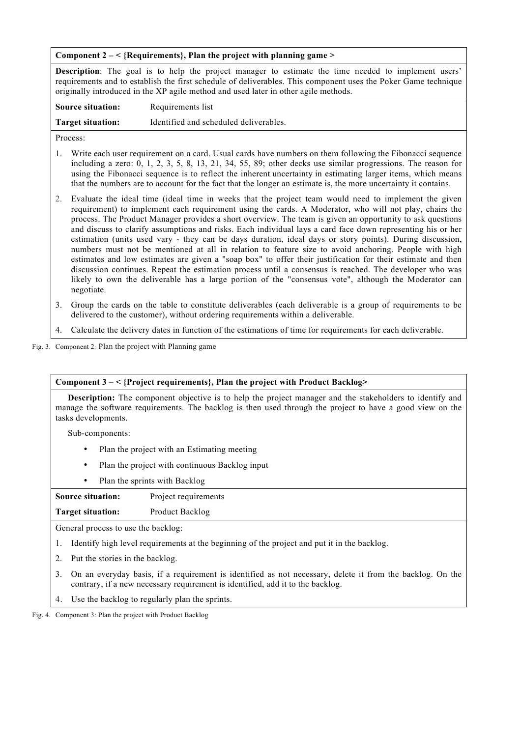# **Component 2 – < {Requirements}, Plan the project with planning game >**

**Description**: The goal is to help the project manager to estimate the time needed to implement users' requirements and to establish the first schedule of deliverables. This component uses the Poker Game technique originally introduced in the XP agile method and used later in other agile methods.

| <b>Source situation:</b> | Requirements list                      |
|--------------------------|----------------------------------------|
| <b>Target situation:</b> | Identified and scheduled deliverables. |

Process:

- 1. Write each user requirement on a card. Usual cards have numbers on them following the Fibonacci sequence including a zero: 0, 1, 2, 3, 5, 8, 13, 21, 34, 55, 89; other decks use similar progressions. The reason for using the Fibonacci sequence is to reflect the inherent uncertainty in estimating larger items, which means that the numbers are to account for the fact that the longer an estimate is, the more uncertainty it contains.
- 2. Evaluate the ideal time (ideal time in weeks that the project team would need to implement the given requirement) to implement each requirement using the cards. A Moderator, who will not play, chairs the process. The Product Manager provides a short overview. The team is given an opportunity to ask questions and discuss to clarify assumptions and risks. Each individual lays a card face down representing his or her estimation (units used vary - they can be days duration, ideal days or story points). During discussion, numbers must not be mentioned at all in relation to feature size to avoid anchoring. People with high estimates and low estimates are given a "soap box" to offer their justification for their estimate and then discussion continues. Repeat the estimation process until a consensus is reached. The developer who was likely to own the deliverable has a large portion of the "consensus vote", although the Moderator can negotiate.
- 3. Group the cards on the table to constitute deliverables (each deliverable is a group of requirements to be delivered to the customer), without ordering requirements within a deliverable.
- 4. Calculate the delivery dates in function of the estimations of time for requirements for each deliverable.

Fig. 3. Component 2*:* Plan the project with Planning game

# **Component 3 – < {Project requirements}, Plan the project with Product Backlog>**

**Description:** The component objective is to help the project manager and the stakeholders to identify and manage the software requirements. The backlog is then used through the project to have a good view on the tasks developments.

Sub-components:

- Plan the project with an Estimating meeting
- Plan the project with continuous Backlog input
- Plan the sprints with Backlog

| <b>Source situation:</b>            | Project requirements |  |
|-------------------------------------|----------------------|--|
| Target situation:                   | Product Backlog      |  |
| General process to use the backlog: |                      |  |

- 1. Identify high level requirements at the beginning of the project and put it in the backlog.
- 2. Put the stories in the backlog.
- 3. On an everyday basis, if a requirement is identified as not necessary, delete it from the backlog. On the contrary, if a new necessary requirement is identified, add it to the backlog.
- 4. Use the backlog to regularly plan the sprints.

Fig. 4. Component 3: Plan the project with Product Backlog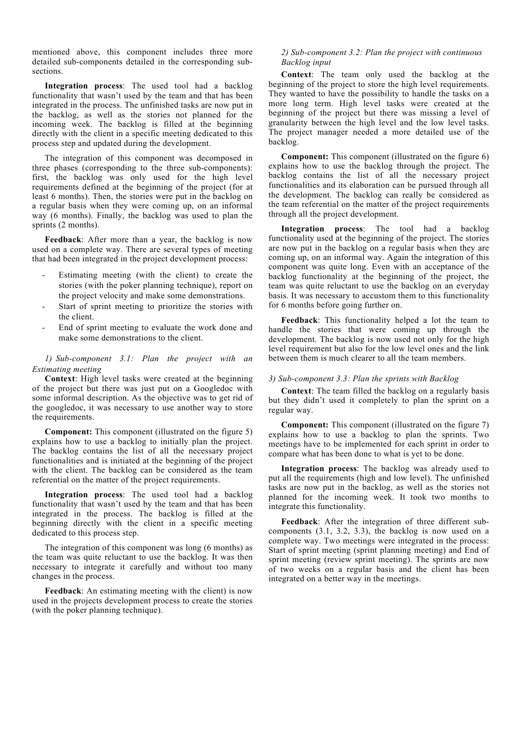mentioned above, this component includes three more detailed sub-components detailed in the corresponding subsections.

**Integration process**: The used tool had a backlog functionality that wasn't used by the team and that has been integrated in the process. The unfinished tasks are now put in the backlog, as well as the stories not planned for the incoming week. The backlog is filled at the beginning directly with the client in a specific meeting dedicated to this process step and updated during the development.

The integration of this component was decomposed in three phases (corresponding to the three sub-components): first, the backlog was only used for the high level requirements defined at the beginning of the project (for at least 6 months). Then, the stories were put in the backlog on a regular basis when they were coming up, on an informal way (6 months). Finally, the backlog was used to plan the sprints (2 months).

**Feedback**: After more than a year, the backlog is now used on a complete way. There are several types of meeting that had been integrated in the project development process:

- Estimating meeting (with the client) to create the stories (with the poker planning technique), report on the project velocity and make some demonstrations.
- Start of sprint meeting to prioritize the stories with the client.
- End of sprint meeting to evaluate the work done and make some demonstrations to the client.

*1) Sub-component 3.1: Plan the project with an Estimating meeting*

**Context**: High level tasks were created at the beginning of the project but there was just put on a Googledoc with some informal description. As the objective was to get rid of the googledoc, it was necessary to use another way to store the requirements.

**Component:** This component (illustrated on the figure 5) explains how to use a backlog to initially plan the project. The backlog contains the list of all the necessary project functionalities and is initiated at the beginning of the project with the client. The backlog can be considered as the team referential on the matter of the project requirements.

**Integration process**: The used tool had a backlog functionality that wasn't used by the team and that has been integrated in the process. The backlog is filled at the beginning directly with the client in a specific meeting dedicated to this process step.

The integration of this component was long (6 months) as the team was quite reluctant to use the backlog. It was then necessary to integrate it carefully and without too many changes in the process.

**Feedback**: An estimating meeting with the client) is now used in the projects development process to create the stories (with the poker planning technique).

# *2) Sub-component 3.2: Plan the project with continuous Backlog input*

**Context**: The team only used the backlog at the beginning of the project to store the high level requirements. They wanted to have the possibility to handle the tasks on a more long term. High level tasks were created at the beginning of the project but there was missing a level of granularity between the high level and the low level tasks. The project manager needed a more detailed use of the backlog.

**Component:** This component (illustrated on the figure 6) explains how to use the backlog through the project. The backlog contains the list of all the necessary project functionalities and its elaboration can be pursued through all the development. The backlog can really be considered as the team referential on the matter of the project requirements through all the project development.

**Integration process**: The tool had a backlog functionality used at the beginning of the project. The stories are now put in the backlog on a regular basis when they are coming up, on an informal way. Again the integration of this component was quite long. Even with an acceptance of the backlog functionality at the beginning of the project, the team was quite reluctant to use the backlog on an everyday basis. It was necessary to accustom them to this functionality for 6 months before going further on.

**Feedback**: This functionality helped a lot the team to handle the stories that were coming up through the development. The backlog is now used not only for the high level requirement but also for the low level ones and the link between them is much clearer to all the team members.

# *3) Sub-component 3.3: Plan the sprints with Backlog*

**Context**: The team filled the backlog on a regularly basis but they didn't used it completely to plan the sprint on a regular way.

**Component:** This component (illustrated on the figure 7) explains how to use a backlog to plan the sprints. Two meetings have to be implemented for each sprint in order to compare what has been done to what is yet to be done.

**Integration process**: The backlog was already used to put all the requirements (high and low level). The unfinished tasks are now put in the backlog, as well as the stories not planned for the incoming week. It took two months to integrate this functionality.

**Feedback**: After the integration of three different subcomponents (3.1, 3.2, 3.3), the backlog is now used on a complete way. Two meetings were integrated in the process: Start of sprint meeting (sprint planning meeting) and End of sprint meeting (review sprint meeting). The sprints are now of two weeks on a regular basis and the client has been integrated on a better way in the meetings.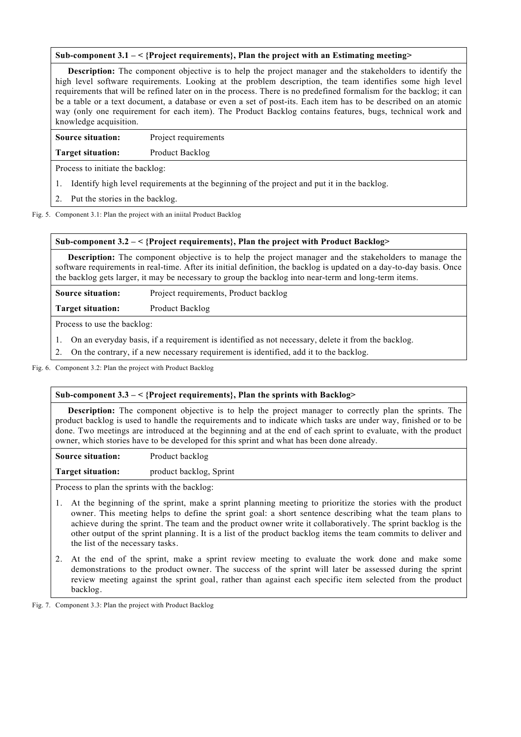# **Sub-component 3.1 – < {Project requirements}, Plan the project with an Estimating meeting>**

**Description:** The component objective is to help the project manager and the stakeholders to identify the high level software requirements. Looking at the problem description, the team identifies some high level requirements that will be refined later on in the process. There is no predefined formalism for the backlog; it can be a table or a text document, a database or even a set of post-its. Each item has to be described on an atomic way (only one requirement for each item). The Product Backlog contains features, bugs, technical work and knowledge acquisition.

# **Source situation:** Project requirements

**Target situation:** Product Backlog

Process to initiate the backlog:

- 1. Identify high level requirements at the beginning of the project and put it in the backlog.
- 2. Put the stories in the backlog.

Fig. 5. Component 3.1: Plan the project with an iniital Product Backlog

# **Sub-component 3.2 – < {Project requirements}, Plan the project with Product Backlog>**

**Description:** The component objective is to help the project manager and the stakeholders to manage the software requirements in real-time. After its initial definition, the backlog is updated on a day-to-day basis. Once the backlog gets larger, it may be necessary to group the backlog into near-term and long-term items.

**Source situation:** Project requirements, Product backlog

**Target situation:** Product Backlog

Process to use the backlog:

- 1. On an everyday basis, if a requirement is identified as not necessary, delete it from the backlog.
- 2. On the contrary, if a new necessary requirement is identified, add it to the backlog.

Fig. 6. Component 3.2: Plan the project with Product Backlog

## **Sub-component 3.3 – < {Project requirements}, Plan the sprints with Backlog>**

**Description:** The component objective is to help the project manager to correctly plan the sprints. The product backlog is used to handle the requirements and to indicate which tasks are under way, finished or to be done. Two meetings are introduced at the beginning and at the end of each sprint to evaluate, with the product owner, which stories have to be developed for this sprint and what has been done already.

**Source situation:** Product backlog

**Target situation:** product backlog, Sprint

Process to plan the sprints with the backlog:

- 1. At the beginning of the sprint, make a sprint planning meeting to prioritize the stories with the product owner. This meeting helps to define the sprint goal: a short sentence describing what the team plans to achieve during the sprint. The team and the product owner write it collaboratively. The sprint backlog is the other output of the sprint planning. It is a list of the product backlog items the team commits to deliver and the list of the necessary tasks.
- 2. At the end of the sprint, make a sprint review meeting to evaluate the work done and make some demonstrations to the product owner. The success of the sprint will later be assessed during the sprint review meeting against the sprint goal, rather than against each specific item selected from the product backlog.

Fig. 7. Component 3.3: Plan the project with Product Backlog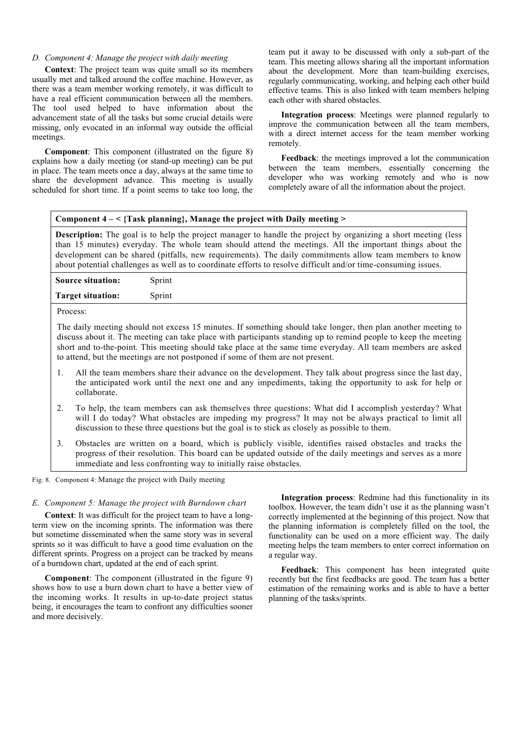#### *D. Component 4: Manage the project with daily meeting*

**Context**: The project team was quite small so its members usually met and talked around the coffee machine. However, as there was a team member working remotely, it was difficult to have a real efficient communication between all the members. The tool used helped to have information about the advancement state of all the tasks but some crucial details were missing, only evocated in an informal way outside the official meetings.

**Component**: This component (illustrated on the figure 8) explains how a daily meeting (or stand-up meeting) can be put in place. The team meets once a day, always at the same time to share the development advance. This meeting is usually scheduled for short time. If a point seems to take too long, the team put it away to be discussed with only a sub-part of the team. This meeting allows sharing all the important information about the development. More than team-building exercises, regularly communicating, working, and helping each other build effective teams. This is also linked with team members helping each other with shared obstacles.

**Integration process**: Meetings were planned regularly to improve the communication between all the team members, with a direct internet access for the team member working remotely.

**Feedback**: the meetings improved a lot the communication between the team members, essentially concerning the developer who was working remotely and who is now completely aware of all the information about the project.

# **Component 4 – < {Task planning}, Manage the project with Daily meeting >**

**Description:** The goal is to help the project manager to handle the project by organizing a short meeting (less than 15 minutes) everyday. The whole team should attend the meetings. All the important things about the development can be shared (pitfalls, new requirements). The daily commitments allow team members to know about potential challenges as well as to coordinate efforts to resolve difficult and/or time-consuming issues.

**Source situation:** Sprint **Target situation:** Sprint

Process:

The daily meeting should not excess 15 minutes. If something should take longer, then plan another meeting to discuss about it. The meeting can take place with participants standing up to remind people to keep the meeting short and to-the-point. This meeting should take place at the same time everyday. All team members are asked to attend, but the meetings are not postponed if some of them are not present.

- 1. All the team members share their advance on the development. They talk about progress since the last day, the anticipated work until the next one and any impediments, taking the opportunity to ask for help or collaborate.
- 2. To help, the team members can ask themselves three questions: What did I accomplish yesterday? What will I do today? What obstacles are impeding my progress? It may not be always practical to limit all discussion to these three questions but the goal is to stick as closely as possible to them.
- 3. Obstacles are written on a board, which is publicly visible, identifies raised obstacles and tracks the progress of their resolution. This board can be updated outside of the daily meetings and serves as a more immediate and less confronting way to initially raise obstacles.

Fig. 8. Component 4: Manage the project with Daily meeting

#### *E. Component 5: Manage the project with Burndown chart*

**Context**: It was difficult for the project team to have a longterm view on the incoming sprints. The information was there but sometime disseminated when the same story was in several sprints so it was difficult to have a good time evaluation on the different sprints. Progress on a project can be tracked by means of a burndown chart, updated at the end of each sprint.

**Component**: The component (illustrated in the figure 9) shows how to use a burn down chart to have a better view of the incoming works. It results in up-to-date project status being, it encourages the team to confront any difficulties sooner and more decisively.

**Integration process**: Redmine had this functionality in its toolbox. However, the team didn't use it as the planning wasn't correctly implemented at the beginning of this project. Now that the planning information is completely filled on the tool, the functionality can be used on a more efficient way. The daily meeting helps the team members to enter correct information on a regular way.

**Feedback**: This component has been integrated quite recently but the first feedbacks are good. The team has a better estimation of the remaining works and is able to have a better planning of the tasks/sprints.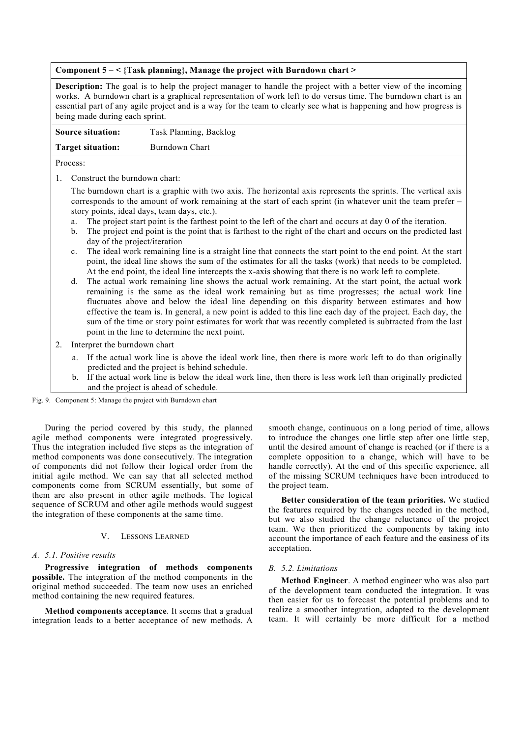**Component 5 – < {Task planning}, Manage the project with Burndown chart >**

**Description:** The goal is to help the project manager to handle the project with a better view of the incoming works. A burndown chart is a graphical representation of work left to do versus time. The burndown chart is an essential part of any agile project and is a way for the team to clearly see what is happening and how progress is being made during each sprint.

| <b>Source situation:</b> | Task Planning, Backlog |
|--------------------------|------------------------|
| <b>Target situation:</b> | Burndown Chart         |

Process:

1. Construct the burndown chart:

The burndown chart is a graphic with two axis. The horizontal axis represents the sprints. The vertical axis corresponds to the amount of work remaining at the start of each sprint (in whatever unit the team prefer – story points, ideal days, team days, etc.).

- a. The project start point is the farthest point to the left of the chart and occurs at day 0 of the iteration.
- b. The project end point is the point that is farthest to the right of the chart and occurs on the predicted last day of the project/iteration
- c. The ideal work remaining line is a straight line that connects the start point to the end point. At the start point, the ideal line shows the sum of the estimates for all the tasks (work) that needs to be completed. At the end point, the ideal line intercepts the x-axis showing that there is no work left to complete.
- d. The actual work remaining line shows the actual work remaining. At the start point, the actual work remaining is the same as the ideal work remaining but as time progresses; the actual work line fluctuates above and below the ideal line depending on this disparity between estimates and how effective the team is. In general, a new point is added to this line each day of the project. Each day, the sum of the time or story point estimates for work that was recently completed is subtracted from the last point in the line to determine the next point.
- 2. Interpret the burndown chart
	- a. If the actual work line is above the ideal work line, then there is more work left to do than originally predicted and the project is behind schedule.
	- b. If the actual work line is below the ideal work line, then there is less work left than originally predicted and the project is ahead of schedule.

Fig. 9. Component 5: Manage the project with Burndown chart

During the period covered by this study, the planned agile method components were integrated progressively. Thus the integration included five steps as the integration of method components was done consecutively. The integration of components did not follow their logical order from the initial agile method. We can say that all selected method components come from SCRUM essentially, but some of them are also present in other agile methods. The logical sequence of SCRUM and other agile methods would suggest the integration of these components at the same time.

#### V. LESSONS LEARNED

#### *A. 5.1. Positive results*

**Progressive integration of methods components possible.** The integration of the method components in the original method succeeded. The team now uses an enriched method containing the new required features.

**Method components acceptance**. It seems that a gradual integration leads to a better acceptance of new methods. A smooth change, continuous on a long period of time, allows to introduce the changes one little step after one little step, until the desired amount of change is reached (or if there is a complete opposition to a change, which will have to be handle correctly). At the end of this specific experience, all of the missing SCRUM techniques have been introduced to the project team.

**Better consideration of the team priorities.** We studied the features required by the changes needed in the method, but we also studied the change reluctance of the project team. We then prioritized the components by taking into account the importance of each feature and the easiness of its acceptation.

## *B. 5.2. Limitations*

**Method Engineer**. A method engineer who was also part of the development team conducted the integration. It was then easier for us to forecast the potential problems and to realize a smoother integration, adapted to the development team. It will certainly be more difficult for a method